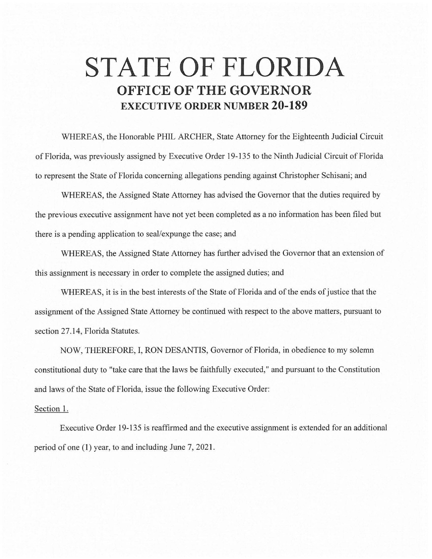## **STATE OF FLORIDA OFFICE OF THE GOVERNOR EXECUTIVE ORDER NUMBER 20-189**

WHEREAS, the Honorable PHIL ARCHER, State Attorney for the Eighteenth Judicial Circuit of Florida, was previously assigned by Executive Order 19-135 to the Ninth Judicial Circuit of Florida to represent the State of Florida concerning allegations pending against Christopher Schisani; and

WHEREAS, the Assigned State Attorney has advised the Governor that the duties required by the previous executive assignment have not yet been completed as a no information has been filed but there is a pending application to seal/expunge the case; and

WHEREAS, the Assigned State Attorney has further advised the Governor that an extension of this assignment is necessary in order to complete the assigned duties; and

WHEREAS, it is in the best interests of the State of Florida and of the ends of justice that the assignment of the Assigned State Attorney be continued with respect to the above matters, pursuant to section 27.14, Florida Statutes.

NOW, THEREFORE, I, RON DESANTIS, Governor of Florida, in obedience to my solemn constitutional duty to "take care that the laws be faithfully executed," and pursuant to the Constitution and laws of the State of Florida, issue the following Executive Order:

## Section 1.

Executive Order 19-135 is reaffirmed and the executive assignment is extended for an additional period of one (I) year, to and including June 7, 2021.